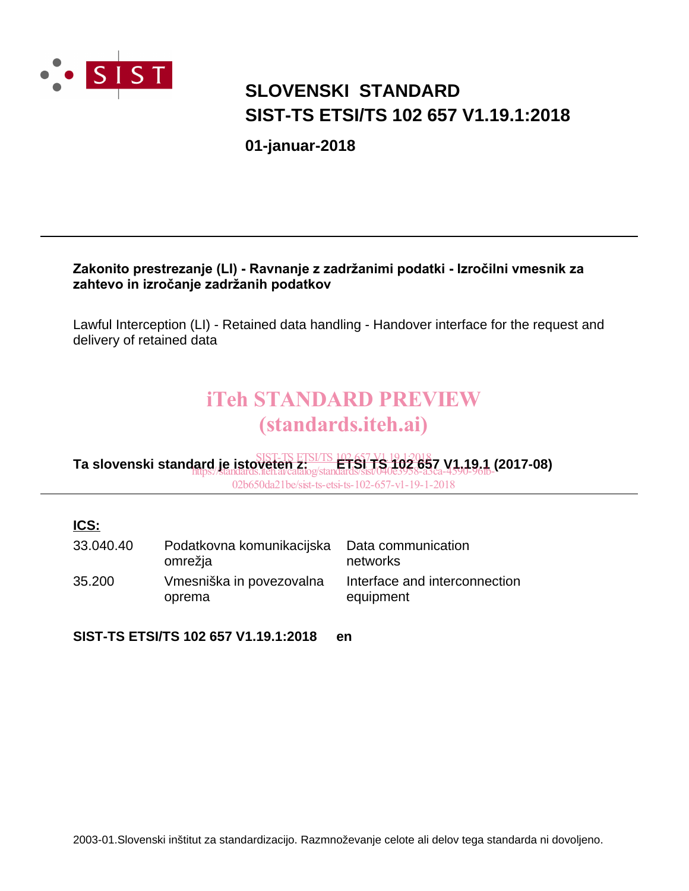

# **SIST-TS ETSI/TS 102 657 V1.19.1:2018 SLOVENSKI STANDARD**

**01-januar-2018**

#### Zakonito prestrezanje (LI) - Ravnanje z zadržanimi podatki - Izročilni vmesnik za zahtevo in izročanje zadržanih podatkov

Lawful Interception (LI) - Retained data handling - Handover interface for the request and delivery of retained data

# iTeh STANDARD PREVIEW (standards.iteh.ai)

**Ta slovenski standard je istoveten z: ETSI TS 102 657 V1.19.1 (2017-08)** SIST-TS ETSI/TS 102 657 V1.19.1:2018 https://standards.iteh.ai/catalog/standards/sist/040e3958-a3ca-4590-96fb-

02b650da21be/sist-ts-etsi-ts-102-657-v1-19-1-2018

#### **ICS:**

| 33.040.40 | Podatkovna komunikacijska<br>omrežja | Data communication<br>networks             |
|-----------|--------------------------------------|--------------------------------------------|
| 35.200    | Vmesniška in povezovalna<br>oprema   | Interface and interconnection<br>equipment |

**SIST-TS ETSI/TS 102 657 V1.19.1:2018 en**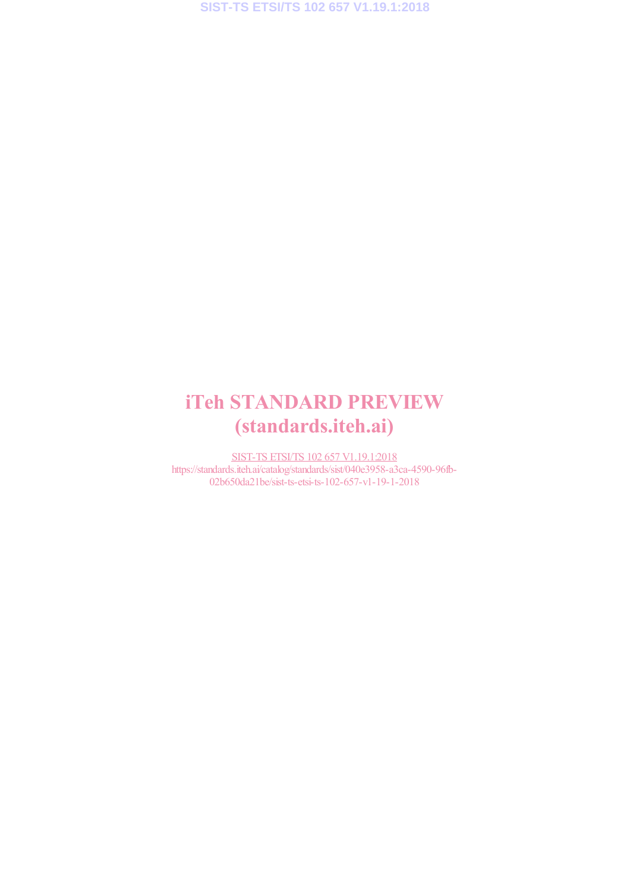# iTeh STANDARD PREVIEW (standards.iteh.ai)

SIST-TS ETSI/TS 102 657 V1.19.1:2018 https://standards.iteh.ai/catalog/standards/sist/040e3958-a3ca-4590-96fb-02b650da21be/sist-ts-etsi-ts-102-657-v1-19-1-2018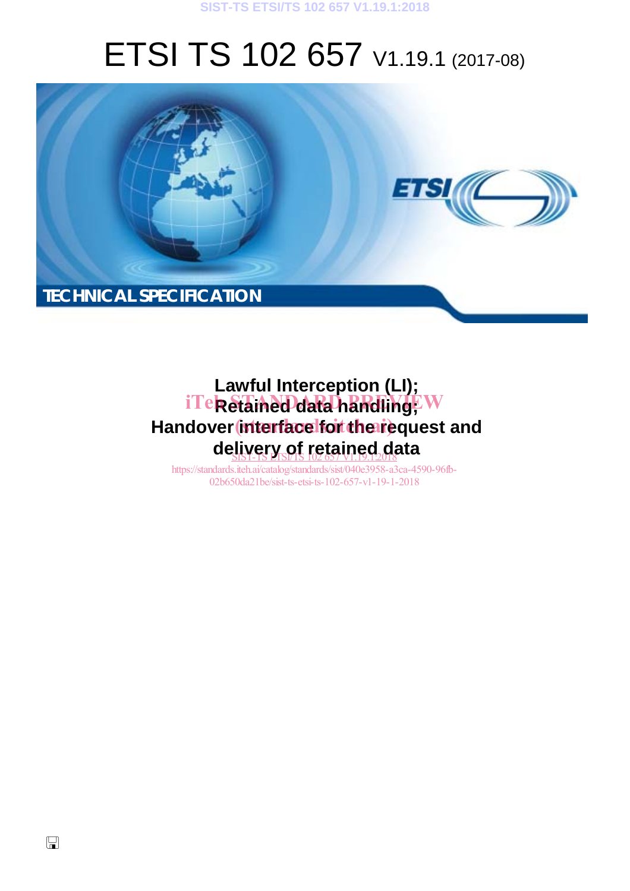#### **SIST-TS ETSI/TS 102 657 V1.19.1:2018**

# ETSI TS 102 657 V1.19.1 (2017-08)



# **Lawful Interception (LI);** iTe**k Stained data handling**; W Handover interface for the request and de<u>livery of retained d</u>ata

https://standards.iteh.ai/catalog/standards/sist/040e3958-a3ca-4590-96fb-02b650da21be/sist-ts-etsi-ts-102-657-v1-19-1-2018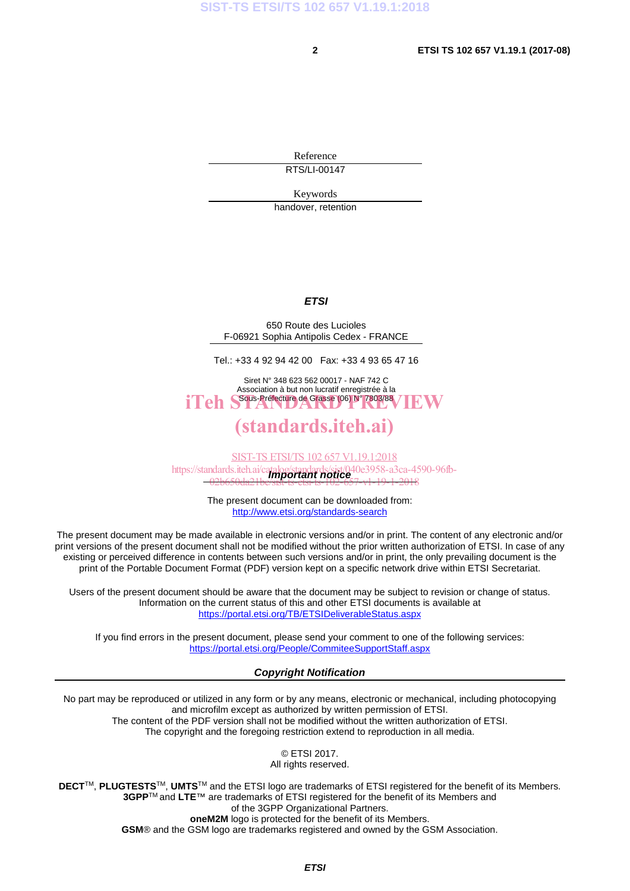Reference RTS/LI-00147

Keywords

handover, retention

#### *ETSI*

650 Route des Lucioles F-06921 Sophia Antipolis Cedex - FRANCE

Tel.: +33 4 92 94 42 00 Fax: +33 4 93 65 47 16

Siret N° 348 623 562 00017 - NAF 742 C Association à but non lucratif enregistrée à la iTeh SSous-Préfecture de Grasse (06) N° 7803/88 / IEW

### (standards.iteh.ai)

*Important notice*  https://standards.iteh.ai/catalog/standards/sist/040e3958-a3ca-4590-96fb-SIST-TS ETSI/TS 102 657 V1.19.1:2018 02b650da21be/sist-ts-etsi-ts-102-657-v1-19-1-2018

> The present document can be downloaded from: http://www.etsi.org/standards-search

The present document may be made available in electronic versions and/or in print. The content of any electronic and/or print versions of the present document shall not be modified without the prior written authorization of ETSI. In case of any existing or perceived difference in contents between such versions and/or in print, the only prevailing document is the print of the Portable Document Format (PDF) version kept on a specific network drive within ETSI Secretariat.

Users of the present document should be aware that the document may be subject to revision or change of status. Information on the current status of this and other ETSI documents is available at https://portal.etsi.org/TB/ETSIDeliverableStatus.aspx

If you find errors in the present document, please send your comment to one of the following services: https://portal.etsi.org/People/CommiteeSupportStaff.aspx

#### *Copyright Notification*

No part may be reproduced or utilized in any form or by any means, electronic or mechanical, including photocopying and microfilm except as authorized by written permission of ETSI. The content of the PDF version shall not be modified without the written authorization of ETSI.

The copyright and the foregoing restriction extend to reproduction in all media.

© ETSI 2017.

All rights reserved.

**DECT**TM, **PLUGTESTS**TM, **UMTS**TM and the ETSI logo are trademarks of ETSI registered for the benefit of its Members. **3GPP**TM and **LTE**™ are trademarks of ETSI registered for the benefit of its Members and of the 3GPP Organizational Partners.

**oneM2M** logo is protected for the benefit of its Members.

**GSM**® and the GSM logo are trademarks registered and owned by the GSM Association.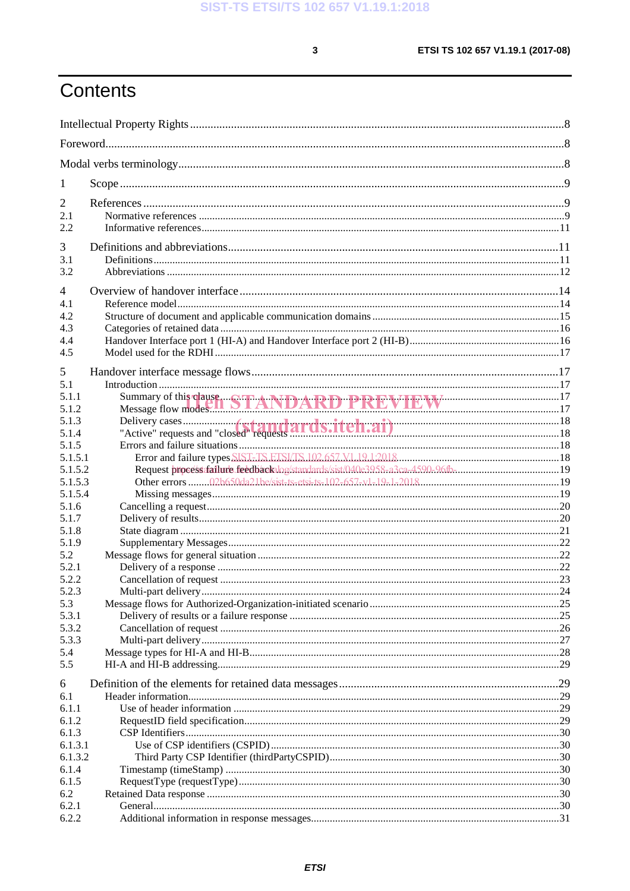$\mathbf{3}$ 

# Contents

| 1              |                                                                                |  |
|----------------|--------------------------------------------------------------------------------|--|
| $\overline{2}$ |                                                                                |  |
| 2.1            |                                                                                |  |
| 2.2            |                                                                                |  |
| 3              |                                                                                |  |
| 3.1            |                                                                                |  |
| 3.2            |                                                                                |  |
|                |                                                                                |  |
| $\overline{4}$ |                                                                                |  |
| 4.1            |                                                                                |  |
| 4.2            |                                                                                |  |
| 4.3<br>4.4     |                                                                                |  |
| 4.5            |                                                                                |  |
|                |                                                                                |  |
| 5              |                                                                                |  |
| 5.1            |                                                                                |  |
| 5.1.1<br>5.1.2 | Summary of this clause. STANDARD PREVIEW 17                                    |  |
| 5.1.3          |                                                                                |  |
| 5.1.4          |                                                                                |  |
| 5.1.5          |                                                                                |  |
| 5.1.5.1        |                                                                                |  |
| 5.1.5.2        | Request processafailure.feedbackalog/standards/sist/040e3958-a3ca-4590-96fb-19 |  |
| 5.1.5.3        |                                                                                |  |
| 5.1.5.4        |                                                                                |  |
| 5.1.6          |                                                                                |  |
| 5.1.7          |                                                                                |  |
| 5.1.8          |                                                                                |  |
| 5.1.9          |                                                                                |  |
| 5.2            |                                                                                |  |
| 5.2.1          |                                                                                |  |
| 5.2.2          |                                                                                |  |
| 5.2.3          |                                                                                |  |
| 5.3            |                                                                                |  |
| 5.3.1<br>5.3.2 |                                                                                |  |
| 5.3.3          |                                                                                |  |
| 5.4            |                                                                                |  |
| 5.5            |                                                                                |  |
|                |                                                                                |  |
| 6<br>6.1       |                                                                                |  |
| 6.1.1          |                                                                                |  |
| 6.1.2          |                                                                                |  |
| 6.1.3          |                                                                                |  |
| 6.1.3.1        |                                                                                |  |
| 6.1.3.2        |                                                                                |  |
| 6.1.4          |                                                                                |  |
| 6.1.5          |                                                                                |  |
| 6.2            |                                                                                |  |
| 6.2.1          |                                                                                |  |
| 6.2.2          |                                                                                |  |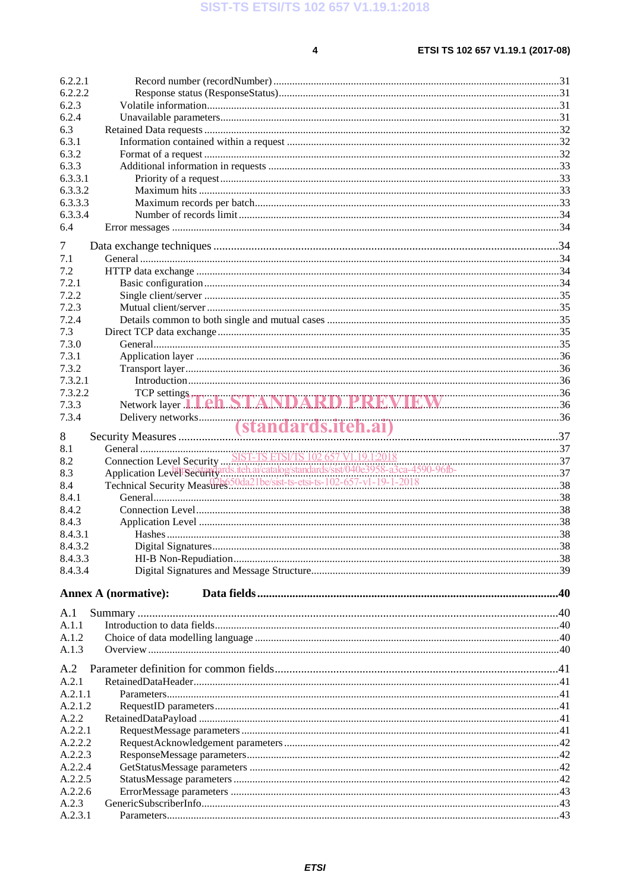$\overline{\mathbf{4}}$ 

| 6.2.2.1          |                             |  |
|------------------|-----------------------------|--|
| 6.2.2.2          |                             |  |
| 6.2.3            |                             |  |
| 6.2.4            |                             |  |
| 6.3              |                             |  |
| 6.3.1            |                             |  |
| 6.3.2            |                             |  |
| 6.3.3<br>6.3.3.1 |                             |  |
| 6.3.3.2          |                             |  |
| 6.3.3.3          |                             |  |
| 6.3.3.4          |                             |  |
| 6.4              |                             |  |
|                  |                             |  |
| 7                |                             |  |
| 7.1              |                             |  |
| 7.2              |                             |  |
| 7.2.1            |                             |  |
| 7.2.2            |                             |  |
| 7.2.3            |                             |  |
| 7.2.4            |                             |  |
| 7.3              |                             |  |
| 7.3.0            |                             |  |
| 7.3.1            |                             |  |
| 7.3.2<br>7.3.2.1 |                             |  |
| 7.3.2.2          |                             |  |
| 7.3.3            |                             |  |
| 7.3.4            |                             |  |
|                  |                             |  |
| 8                |                             |  |
| 8.1              |                             |  |
| 8.2              |                             |  |
| 8.3              |                             |  |
| 8.4              |                             |  |
| 8.4.1            |                             |  |
| 8.4.2            |                             |  |
| 8.4.3            |                             |  |
| 8.4.3.1          |                             |  |
| 8.4.3.2          |                             |  |
| 8.4.3.3          |                             |  |
| 8.4.3.4          |                             |  |
|                  | <b>Annex A (normative):</b> |  |
|                  |                             |  |
| A.1              |                             |  |
| A.1.1            |                             |  |
| A.1.2            |                             |  |
| A.1.3            |                             |  |
| A.2              |                             |  |
| A.2.1            |                             |  |
| A.2.1.1          |                             |  |
| A.2.1.2          |                             |  |
| A.2.2            |                             |  |
| A.2.2.1          |                             |  |
| A.2.2.2          |                             |  |
| A.2.2.3          |                             |  |
| A.2.2.4          |                             |  |
| A.2.2.5          |                             |  |
| A.2.2.6          |                             |  |
| A.2.3            |                             |  |
| A.2.3.1          |                             |  |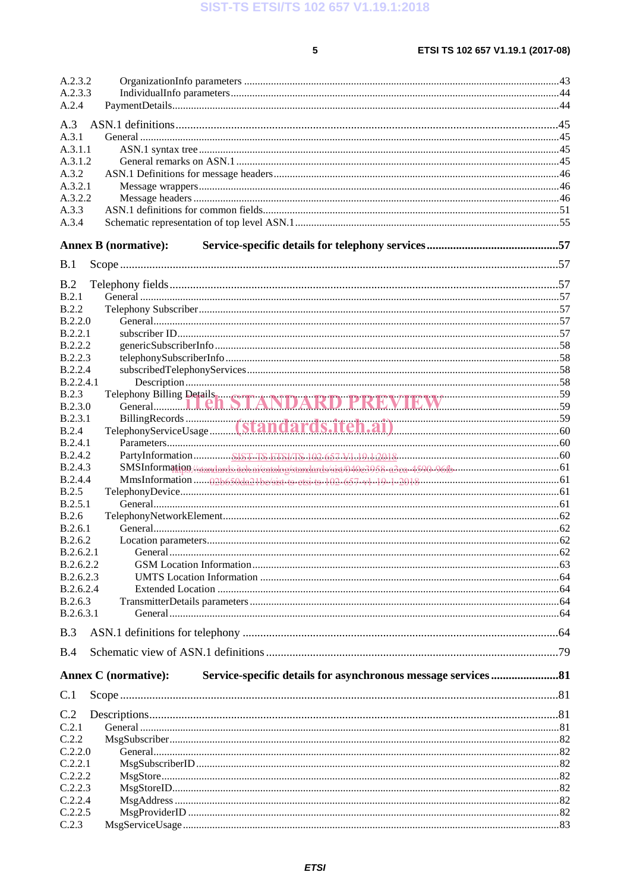$5\phantom{a}$ 

| A.2.3.2          |                                               |  |
|------------------|-----------------------------------------------|--|
| A.2.3.3          |                                               |  |
| A.2.4            |                                               |  |
| A.3              |                                               |  |
| A.3.1            |                                               |  |
| A.3.1.1          |                                               |  |
| A.3.1.2          |                                               |  |
| A.3.2            |                                               |  |
|                  |                                               |  |
| A.3.2.1          |                                               |  |
| A.3.2.2          |                                               |  |
| A.3.3            |                                               |  |
| A.3.4            |                                               |  |
|                  | <b>Annex B</b> (normative):                   |  |
|                  |                                               |  |
| B.1              |                                               |  |
| B.2              |                                               |  |
| B.2.1            |                                               |  |
| <b>B.2.2</b>     |                                               |  |
| B.2.2.0          |                                               |  |
| B.2.2.1          |                                               |  |
| B.2.2.2          |                                               |  |
| B.2.2.3          |                                               |  |
| <b>B.2.2.4</b>   |                                               |  |
| <b>B.2.2.4.1</b> |                                               |  |
| B.2.3            |                                               |  |
| <b>B.2.3.0</b>   | Telephony Billing Details STANDARD PREVIEW 59 |  |
| B.2.3.1          |                                               |  |
| <b>B.2.4</b>     |                                               |  |
|                  |                                               |  |
| B.2.4.1          |                                               |  |
| B.2.4.2          |                                               |  |
| <b>B.2.4.3</b>   |                                               |  |
| <b>B.2.4.4</b>   |                                               |  |
| B.2.5            |                                               |  |
| B.2.5.1          |                                               |  |
| B.2.6            |                                               |  |
| B.2.6.1          |                                               |  |
| B.2.6.2          |                                               |  |
| B.2.6.2.1        |                                               |  |
| B.2.6.2.2        |                                               |  |
| B.2.6.2.3        |                                               |  |
| B.2.6.2.4        |                                               |  |
| B.2.6.3          |                                               |  |
| B.2.6.3.1        |                                               |  |
| B.3              |                                               |  |
|                  |                                               |  |
| B.4              |                                               |  |
|                  | <b>Annex C</b> (normative):                   |  |
| C.1              |                                               |  |
|                  |                                               |  |
| C.2              |                                               |  |
| C.2.1            |                                               |  |
| C.2.2            |                                               |  |
| C.2.2.0          |                                               |  |
| C.2.2.1          |                                               |  |
| C.2.2.2          |                                               |  |
| C.2.2.3          |                                               |  |
| C.2.2.4          |                                               |  |
| C.2.2.5          |                                               |  |
| C.2.3            |                                               |  |
|                  |                                               |  |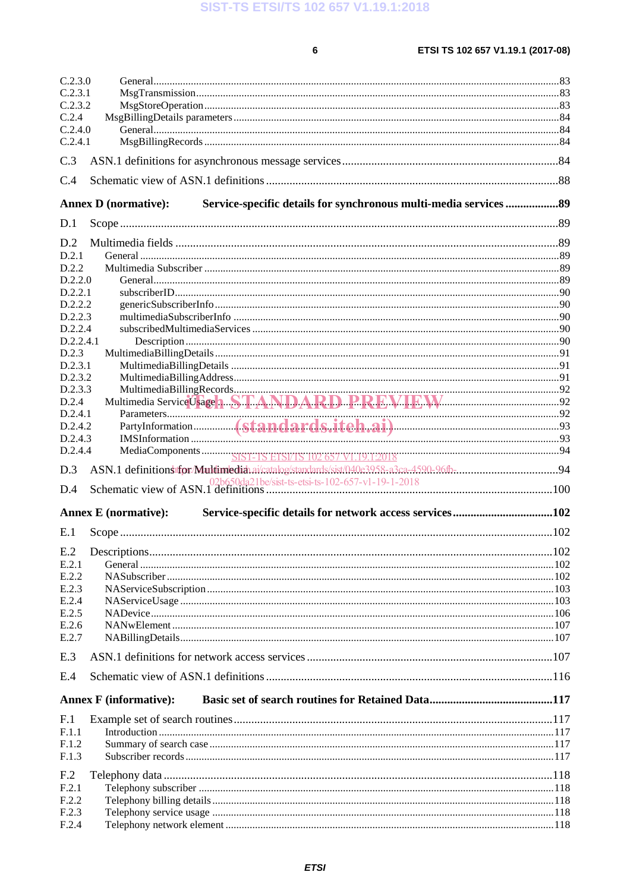SIST-TS ETSI/TS 102 657 V1.19.1:2018

 $\bf 6$ 

| C.2.3.0         |                                                                                                  |  |
|-----------------|--------------------------------------------------------------------------------------------------|--|
| C.2.3.1         |                                                                                                  |  |
| C.2.3.2         |                                                                                                  |  |
| C.2.4           |                                                                                                  |  |
| C.2.4.0         |                                                                                                  |  |
| C.2.4.1         |                                                                                                  |  |
| C.3             |                                                                                                  |  |
| C.4             |                                                                                                  |  |
|                 | Service-specific details for synchronous multi-media services  89<br><b>Annex D</b> (normative): |  |
| D.1             |                                                                                                  |  |
|                 |                                                                                                  |  |
| D.2             |                                                                                                  |  |
| D.2.1           |                                                                                                  |  |
| D.2.2           |                                                                                                  |  |
| D.2.2.0         |                                                                                                  |  |
| D.2.2.1         |                                                                                                  |  |
| D.2.2.2         |                                                                                                  |  |
| D.2.2.3         |                                                                                                  |  |
| D.2.2.4         |                                                                                                  |  |
| D.2.2.4.1       |                                                                                                  |  |
| D.2.3           |                                                                                                  |  |
| D.2.3.1         |                                                                                                  |  |
| D.2.3.2         |                                                                                                  |  |
| D.2.3.3         |                                                                                                  |  |
| D.2.4           | MultimediaBillingRecords<br>Multimedia ServiceUsage 1 STANDARD PREVIEW EXAMIC 2020               |  |
| D.2.4.1         |                                                                                                  |  |
| D.2.4.2         |                                                                                                  |  |
| D.2.4.3         |                                                                                                  |  |
| D.2.4.4         |                                                                                                  |  |
| D.3             |                                                                                                  |  |
|                 |                                                                                                  |  |
| D.4             |                                                                                                  |  |
|                 | Service-specific details for network access services102<br><b>Annex E</b> (normative):           |  |
| E.1             |                                                                                                  |  |
|                 |                                                                                                  |  |
| E.2.1           |                                                                                                  |  |
| E.2.2           |                                                                                                  |  |
| E.2.3           |                                                                                                  |  |
| E.2.4           |                                                                                                  |  |
| E.2.5           |                                                                                                  |  |
| E.2.6           |                                                                                                  |  |
| E.2.7           |                                                                                                  |  |
| E.3             |                                                                                                  |  |
|                 |                                                                                                  |  |
|                 |                                                                                                  |  |
| E.4             |                                                                                                  |  |
|                 | <b>Annex F</b> (informative):                                                                    |  |
| F <sub>.1</sub> |                                                                                                  |  |
| F.1.1           |                                                                                                  |  |
| F.1.2           |                                                                                                  |  |
| F.1.3           |                                                                                                  |  |
|                 |                                                                                                  |  |
| F <sub>.2</sub> |                                                                                                  |  |
| F.2.1           |                                                                                                  |  |
| F.2.2           |                                                                                                  |  |
| F.2.3<br>F.2.4  |                                                                                                  |  |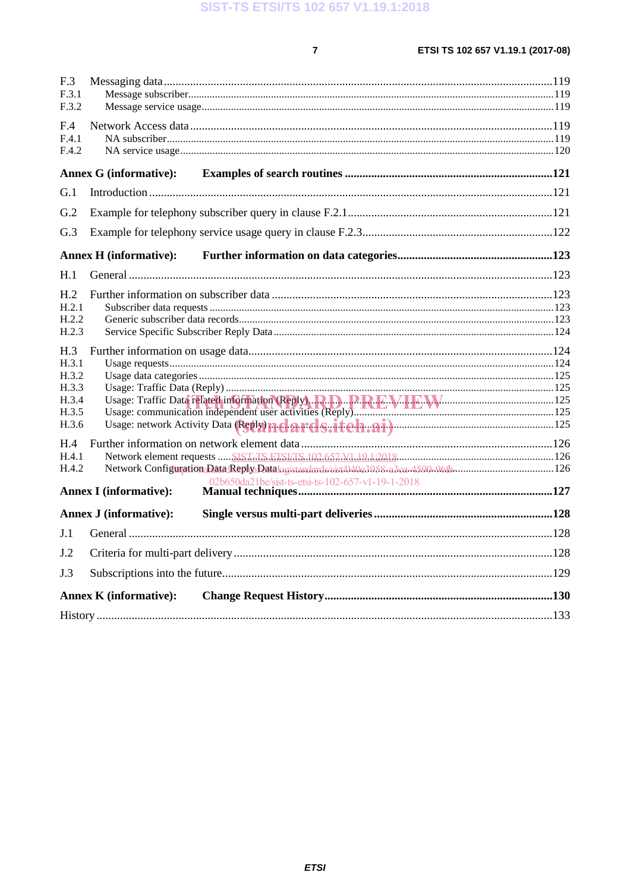$\overline{7}$ 

| F.3<br>F.3.1<br>F.3.2                                     |                                                                                                                     |  |
|-----------------------------------------------------------|---------------------------------------------------------------------------------------------------------------------|--|
| F.4<br>F.4.1<br>F.4.2                                     |                                                                                                                     |  |
|                                                           | <b>Annex G (informative):</b>                                                                                       |  |
| G.1                                                       |                                                                                                                     |  |
| G.2                                                       |                                                                                                                     |  |
| G.3                                                       |                                                                                                                     |  |
|                                                           | <b>Annex H</b> (informative):                                                                                       |  |
| H.1                                                       |                                                                                                                     |  |
| H <sub>.2</sub><br>H.2.1<br>H.2.2<br>H.2.3                |                                                                                                                     |  |
| H.3<br>H.3.1<br>H.3.2<br>H.3.3<br>H.3.4<br>H.3.5<br>H.3.6 |                                                                                                                     |  |
| H.4<br>H.4.1<br>H.4.2                                     | Network Configuration:Data:Reply:Datalog/standards/sist/040e3958-a3ca-4590-96fb126<br><b>Annex I</b> (informative): |  |
|                                                           | <b>Annex J (informative):</b>                                                                                       |  |
| J.1                                                       |                                                                                                                     |  |
| J.2                                                       |                                                                                                                     |  |
| J.3                                                       |                                                                                                                     |  |
|                                                           | <b>Annex K (informative):</b>                                                                                       |  |
|                                                           |                                                                                                                     |  |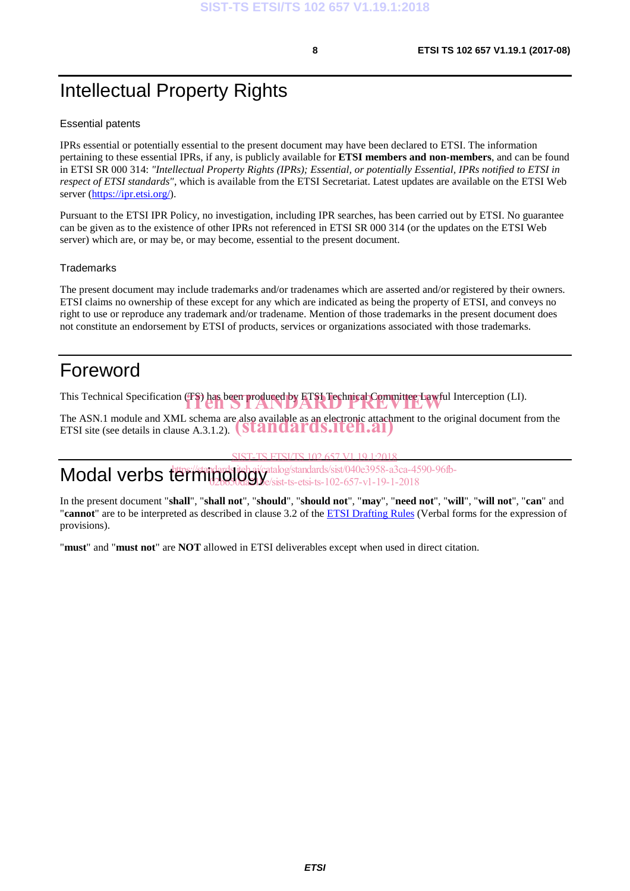# Intellectual Property Rights

#### Essential patents

IPRs essential or potentially essential to the present document may have been declared to ETSI. The information pertaining to these essential IPRs, if any, is publicly available for **ETSI members and non-members**, and can be found in ETSI SR 000 314: *"Intellectual Property Rights (IPRs); Essential, or potentially Essential, IPRs notified to ETSI in respect of ETSI standards"*, which is available from the ETSI Secretariat. Latest updates are available on the ETSI Web server (https://ipr.etsi.org/).

Pursuant to the ETSI IPR Policy, no investigation, including IPR searches, has been carried out by ETSI. No guarantee can be given as to the existence of other IPRs not referenced in ETSI SR 000 314 (or the updates on the ETSI Web server) which are, or may be, or may become, essential to the present document.

#### **Trademarks**

The present document may include trademarks and/or tradenames which are asserted and/or registered by their owners. ETSI claims no ownership of these except for any which are indicated as being the property of ETSI, and conveys no right to use or reproduce any trademark and/or tradename. Mention of those trademarks in the present document does not constitute an endorsement by ETSI of products, services or organizations associated with those trademarks.

# Foreword

This Technical Specification (TS) has been produced by ETSI Technical Committee Lawful Interception (LI).

The ASN.1 module and XML schema are also available as an electronic attachment to the original document from the The ASN.1 module and XML schema are also available as an electronic attachn<br>ETSI site (see details in clause A.3.1.2). **(Standards.iteh.ai**)

SIST-TS ETSI/TS 102 657 V1 19 1:2018

Modal verbs terminology<sup>t</sup> https://standardslieh.ai/catalog/standards/sist/040e3958-a3ca-4590-96fb-02b650da21*be/sist-ts-etsi-ts-102-657-v1-19-1-2018* 

In the present document "**shall**", "**shall not**", "**should**", "**should not**", "**may**", "**need not**", "**will**", "**will not**", "**can**" and "**cannot**" are to be interpreted as described in clause 3.2 of the ETSI Drafting Rules (Verbal forms for the expression of provisions).

"**must**" and "**must not**" are **NOT** allowed in ETSI deliverables except when used in direct citation.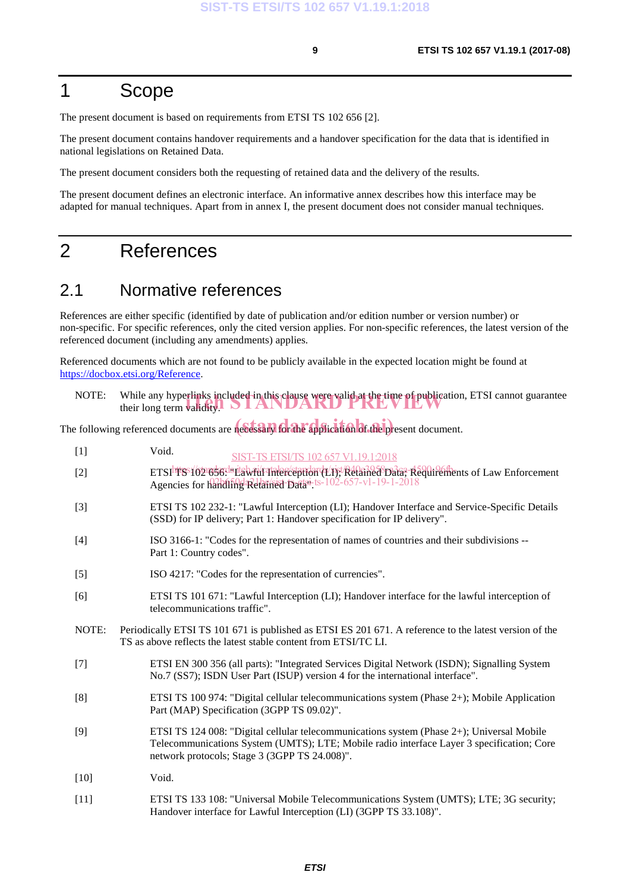## 1 Scope

The present document is based on requirements from ETSI TS 102 656 [2].

The present document contains handover requirements and a handover specification for the data that is identified in national legislations on Retained Data.

The present document considers both the requesting of retained data and the delivery of the results.

The present document defines an electronic interface. An informative annex describes how this interface may be adapted for manual techniques. Apart from in annex I, the present document does not consider manual techniques.

### 2 References

#### 2.1 Normative references

References are either specific (identified by date of publication and/or edition number or version number) or non-specific. For specific references, only the cited version applies. For non-specific references, the latest version of the referenced document (including any amendments) applies.

Referenced documents which are not found to be publicly available in the expected location might be found at https://docbox.etsi.org/Reference.

| NOTE: | While any hyperlinks included in this clause were valid at the time of publication, ETSI cannot guarantee their long term validity. |
|-------|-------------------------------------------------------------------------------------------------------------------------------------|
|       |                                                                                                                                     |

The following referenced documents are necessary for the application of the present document.

| $[1]$  | Void.<br>SIST-TS ETSI/TS 102 657 V1.19.1:2018                                                                                                                                                                                           |
|--------|-----------------------------------------------------------------------------------------------------------------------------------------------------------------------------------------------------------------------------------------|
| $[2]$  | ETSI FS102 656. daria heile also standard Lijst Relative Data, Requirements of Law Enforcement<br>Agencies for handling Relatined Data-ts-102-657-v1-19-1-2018                                                                          |
| $[3]$  | ETSI TS 102 232-1: "Lawful Interception (LI); Handover Interface and Service-Specific Details<br>(SSD) for IP delivery; Part 1: Handover specification for IP delivery".                                                                |
| $[4]$  | ISO 3166-1: "Codes for the representation of names of countries and their subdivisions --<br>Part 1: Country codes".                                                                                                                    |
| $[5]$  | ISO 4217: "Codes for the representation of currencies".                                                                                                                                                                                 |
| [6]    | ETSI TS 101 671: "Lawful Interception (LI); Handover interface for the lawful interception of<br>telecommunications traffic".                                                                                                           |
| NOTE:  | Periodically ETSI TS 101 671 is published as ETSI ES 201 671. A reference to the latest version of the<br>TS as above reflects the latest stable content from ETSI/TC LI.                                                               |
| $[7]$  | ETSI EN 300 356 (all parts): "Integrated Services Digital Network (ISDN); Signalling System<br>No.7 (SS7); ISDN User Part (ISUP) version 4 for the international interface".                                                            |
| [8]    | ETSI TS 100 974: "Digital cellular telecommunications system (Phase 2+); Mobile Application<br>Part (MAP) Specification (3GPP TS 09.02)".                                                                                               |
| [9]    | ETSI TS 124 008: "Digital cellular telecommunications system (Phase 2+); Universal Mobile<br>Telecommunications System (UMTS); LTE; Mobile radio interface Layer 3 specification; Core<br>network protocols; Stage 3 (3GPP TS 24.008)". |
| $[10]$ | Void.                                                                                                                                                                                                                                   |
| $[11]$ | ETSI TS 133 108: "Universal Mobile Telecommunications System (UMTS); LTE; 3G security;                                                                                                                                                  |

Handover interface for Lawful Interception (LI) (3GPP TS 33.108)".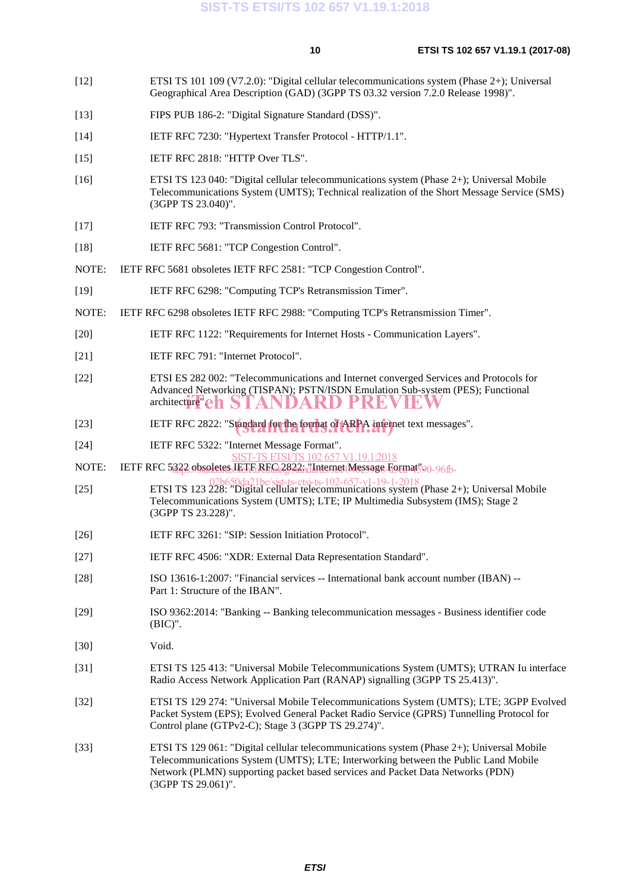- [12] ETSI TS 101 109 (V7.2.0): "Digital cellular telecommunications system (Phase 2+); Universal Geographical Area Description (GAD) (3GPP TS 03.32 version 7.2.0 Release 1998)".
- [13] FIPS PUB 186-2: "Digital Signature Standard (DSS)".
- [14] IETF RFC 7230: "Hypertext Transfer Protocol HTTP/1.1".
- [15] IETF RFC 2818: "HTTP Over TLS".
- [16] ETSI TS 123 040: "Digital cellular telecommunications system (Phase 2+); Universal Mobile Telecommunications System (UMTS); Technical realization of the Short Message Service (SMS) (3GPP TS 23.040)".
- [17] IETF RFC 793: "Transmission Control Protocol".
- [18] IETF RFC 5681: "TCP Congestion Control".
- NOTE: IETF RFC 5681 obsoletes IETF RFC 2581: "TCP Congestion Control".
- [19] IETF RFC 6298: "Computing TCP's Retransmission Timer".
- NOTE: IETF RFC 6298 obsoletes IETF RFC 2988: "Computing TCP's Retransmission Timer".
- [20] IETF RFC 1122: "Requirements for Internet Hosts Communication Layers".
- [21] **IETF RFC 791: "Internet Protocol".**
- [22] ETSI ES 282 002: "Telecommunications and Internet converged Services and Protocols for Advanced Networking (TISPAN); PSTN/ISDN Emulation Sub-system (PES); Functional architecture"eh STANDARD PREVIEW
- [23] IETF RFC 2822: "Standard for the format of ARPA internet text messages".
- [24] IETF RFC 5322: "Internet Message Format".
- T-TS ETSI/TS 102 657 V1.19.1:2018
- NOTE: IETF RFC 5<u>322 obsoletes JETE REG12822; il Internet Message Form</u>at 90-96fb-
- [25] ETSI TS 123 228: "Digital cellular telecommunications system (Phase 2+); Universal Mobile [25] Telecommunications System (UMTS); LTE; IP Multimedia Subsystem (IMS); Stage 2 (3GPP TS 23.228)".
- [26] IETF RFC 3261: "SIP: Session Initiation Protocol".
- [27] IETF RFC 4506: "XDR: External Data Representation Standard".
- [28] ISO 13616-1:2007: "Financial services -- International bank account number (IBAN) -- Part 1: Structure of the IBAN".
- [29] ISO 9362:2014: "Banking -- Banking telecommunication messages Business identifier code (BIC)".
- [30] Void.
- [31] ETSI TS 125 413: "Universal Mobile Telecommunications System (UMTS); UTRAN Iu interface Radio Access Network Application Part (RANAP) signalling (3GPP TS 25.413)".
- [32] ETSI TS 129 274: "Universal Mobile Telecommunications System (UMTS); LTE; 3GPP Evolved Packet System (EPS); Evolved General Packet Radio Service (GPRS) Tunnelling Protocol for Control plane (GTPv2-C); Stage 3 (3GPP TS 29.274)".
- [33] ETSI TS 129 061: "Digital cellular telecommunications system (Phase 2+); Universal Mobile Telecommunications System (UMTS); LTE; Interworking between the Public Land Mobile Network (PLMN) supporting packet based services and Packet Data Networks (PDN) (3GPP TS 29.061)".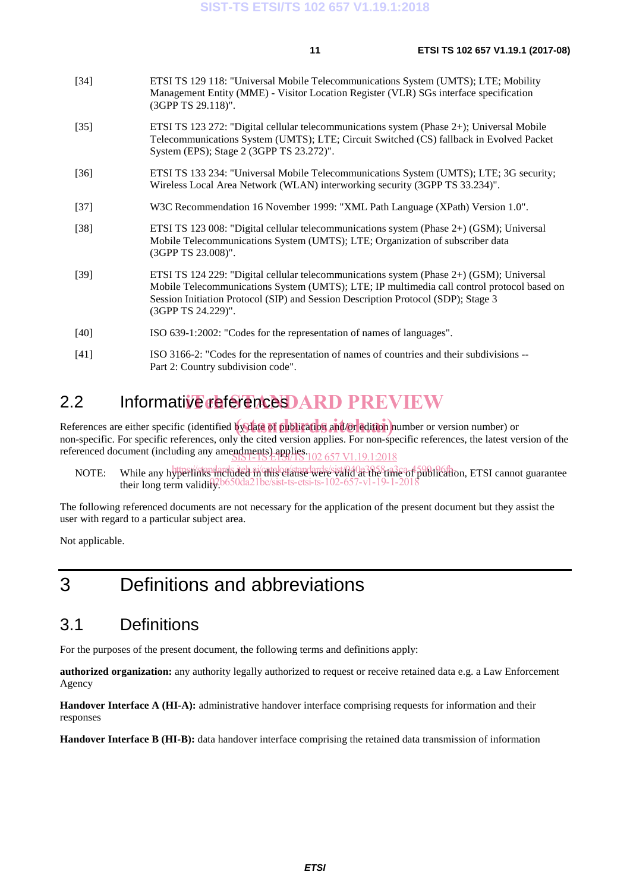| [34] | ETSI TS 129 118: "Universal Mobile Telecommunications System (UMTS); LTE; Mobility    |
|------|---------------------------------------------------------------------------------------|
|      | Management Entity (MME) - Visitor Location Register (VLR) SGs interface specification |
|      | $(3GPP TS 29.118)$ ".                                                                 |

- [35] ETSI TS 123 272: "Digital cellular telecommunications system (Phase 2+); Universal Mobile Telecommunications System (UMTS); LTE; Circuit Switched (CS) fallback in Evolved Packet System (EPS); Stage 2 (3GPP TS 23.272)".
- [36] ETSI TS 133 234: "Universal Mobile Telecommunications System (UMTS); LTE; 3G security; Wireless Local Area Network (WLAN) interworking security (3GPP TS 33.234)".
- [37] W3C Recommendation 16 November 1999: "XML Path Language (XPath) Version 1.0".
- [38] ETSI TS 123 008: "Digital cellular telecommunications system (Phase 2+) (GSM); Universal Mobile Telecommunications System (UMTS); LTE; Organization of subscriber data (3GPP TS 23.008)".
- [39] ETSI TS 124 229: "Digital cellular telecommunications system (Phase 2+) (GSM); Universal Mobile Telecommunications System (UMTS); LTE; IP multimedia call control protocol based on Session Initiation Protocol (SIP) and Session Description Protocol (SDP); Stage 3 (3GPP TS 24.229)".
- [40] ISO 639-1:2002: "Codes for the representation of names of languages".
- [41] ISO 3166-2: "Codes for the representation of names of countries and their subdivisions -- Part 2: Country subdivision code".

# 2.2 Informative references DARD PREVIEW

References are either specific (identified by date of publication and/or edition number or version number) or non-specific. For specific references, only the cited version applies. For non-specific references, the latest version of the referenced document (including any amendments) applies.<br>
SIST-TS ETST/TS 102 657 V1.19.1:2018

NOTE: While any hyperlinks included ni this clause were valid at the time of publication, ETSI cannot guarantee their long term validity.  $be/sist-ts-etsi-ts-102-657-v1$ 

The following referenced documents are not necessary for the application of the present document but they assist the user with regard to a particular subject area.

Not applicable.

# 3 Definitions and abbreviations

### 3.1 Definitions

For the purposes of the present document, the following terms and definitions apply:

**authorized organization:** any authority legally authorized to request or receive retained data e.g. a Law Enforcement Agency

**Handover Interface A (HI-A):** administrative handover interface comprising requests for information and their responses

**Handover Interface B (HI-B):** data handover interface comprising the retained data transmission of information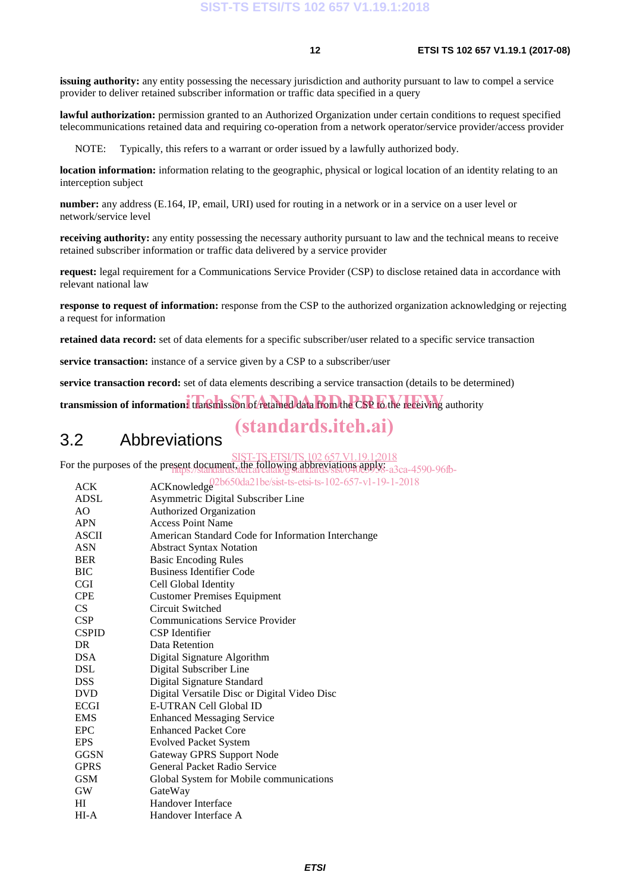**issuing authority:** any entity possessing the necessary jurisdiction and authority pursuant to law to compel a service provider to deliver retained subscriber information or traffic data specified in a query

**lawful authorization:** permission granted to an Authorized Organization under certain conditions to request specified telecommunications retained data and requiring co-operation from a network operator/service provider/access provider

NOTE: Typically, this refers to a warrant or order issued by a lawfully authorized body.

**location information:** information relating to the geographic, physical or logical location of an identity relating to an interception subject

**number:** any address (E.164, IP, email, URI) used for routing in a network or in a service on a user level or network/service level

**receiving authority:** any entity possessing the necessary authority pursuant to law and the technical means to receive retained subscriber information or traffic data delivered by a service provider

**request:** legal requirement for a Communications Service Provider (CSP) to disclose retained data in accordance with relevant national law

**response to request of information:** response from the CSP to the authorized organization acknowledging or rejecting a request for information

**retained data record:** set of data elements for a specific subscriber/user related to a specific service transaction

**service transaction:** instance of a service given by a CSP to a subscriber/user

**service transaction record:** set of data elements describing a service transaction (details to be determined)

transmission of information: transmission of retained data from the CSP to the receiving authority

### (standards.iteh.ai)

### 3.2 Abbreviations

For the purposes of the present document, the following abbreviations apply. sent document, the following appreviations apply:<br>https://standards.iteh.ai/catalog/standards/sist/040e3958-a3ca-4590-96fb-

| <b>ACK</b>   | ACKnowledge <sup>02b650da21be/sist-ts-etsi-ts-102-657-v1-19-1-2018</sup> |
|--------------|--------------------------------------------------------------------------|
| ADSL         | Asymmetric Digital Subscriber Line                                       |
| AO           | Authorized Organization                                                  |
| <b>APN</b>   | <b>Access Point Name</b>                                                 |
| ASCII        | American Standard Code for Information Interchange                       |
| <b>ASN</b>   | <b>Abstract Syntax Notation</b>                                          |
| <b>BER</b>   | <b>Basic Encoding Rules</b>                                              |
| BIC          | <b>Business Identifier Code</b>                                          |
| <b>CGI</b>   | Cell Global Identity                                                     |
| <b>CPE</b>   | <b>Customer Premises Equipment</b>                                       |
| CS.          | Circuit Switched                                                         |
| <b>CSP</b>   | <b>Communications Service Provider</b>                                   |
| <b>CSPID</b> | CSP Identifier                                                           |
| DR           | Data Retention                                                           |
| <b>DSA</b>   | Digital Signature Algorithm                                              |
| <b>DSL</b>   | Digital Subscriber Line                                                  |
| <b>DSS</b>   | Digital Signature Standard                                               |
| <b>DVD</b>   | Digital Versatile Disc or Digital Video Disc                             |
| <b>ECGI</b>  | E-UTRAN Cell Global ID                                                   |
| <b>EMS</b>   | <b>Enhanced Messaging Service</b>                                        |
| <b>EPC</b>   | <b>Enhanced Packet Core</b>                                              |
| <b>EPS</b>   | <b>Evolved Packet System</b>                                             |
| <b>GGSN</b>  | <b>Gateway GPRS Support Node</b>                                         |
| <b>GPRS</b>  | General Packet Radio Service                                             |
| <b>GSM</b>   | Global System for Mobile communications                                  |
| <b>GW</b>    | GateWay                                                                  |
| HI           | Handover Interface                                                       |
| HI-A         | Handover Interface A                                                     |